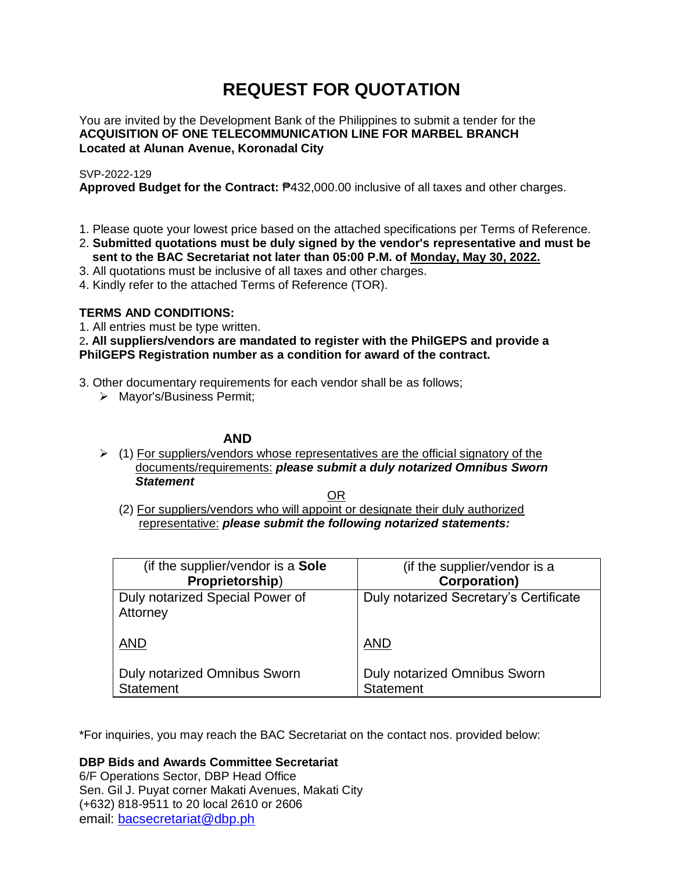# **REQUEST FOR QUOTATION**

You are invited by the Development Bank of the Philippines to submit a tender for the **ACQUISITION OF ONE TELECOMMUNICATION LINE FOR MARBEL BRANCH Located at Alunan Avenue, Koronadal City**

# SVP-2022-129

**Approved Budget for the Contract:** ₱432,000.00 inclusive of all taxes and other charges.

- 1. Please quote your lowest price based on the attached specifications per Terms of Reference.
- 2. **Submitted quotations must be duly signed by the vendor's representative and must be sent to the BAC Secretariat not later than 05:00 P.M. of Monday, May 30, 2022.**
- 3. All quotations must be inclusive of all taxes and other charges.
- 4. Kindly refer to the attached Terms of Reference (TOR).

# **TERMS AND CONDITIONS:**

1. All entries must be type written.

2**. All suppliers/vendors are mandated to register with the PhilGEPS and provide a PhilGEPS Registration number as a condition for award of the contract.**

- 3. Other documentary requirements for each vendor shall be as follows;
	- > Mayor's/Business Permit;

# **AND**

 $\geq$  (1) For suppliers/vendors whose representatives are the official signatory of the documents/requirements: *please submit a duly notarized Omnibus Sworn Statement*

<u>OR Starting and the Starting OR Starting</u>

(2) For suppliers/vendors who will appoint or designate their duly authorized representative: *please submit the following notarized statements:*

| (if the supplier/vendor is a Sole           | (if the supplier/vendor is a           |
|---------------------------------------------|----------------------------------------|
| Proprietorship)                             | <b>Corporation)</b>                    |
| Duly notarized Special Power of<br>Attorney | Duly notarized Secretary's Certificate |
| <b>AND</b>                                  | <b>AND</b>                             |
| Duly notarized Omnibus Sworn                | Duly notarized Omnibus Sworn           |
| <b>Statement</b>                            | <b>Statement</b>                       |

\*For inquiries, you may reach the BAC Secretariat on the contact nos. provided below:

**DBP Bids and Awards Committee Secretariat** 

6/F Operations Sector, DBP Head Office Sen. Gil J. Puyat corner Makati Avenues, Makati City (+632) 818-9511 to 20 local 2610 or 2606 email: [bacsecretariat@dbp.ph](mailto:bacsecretariat@dbp.ph)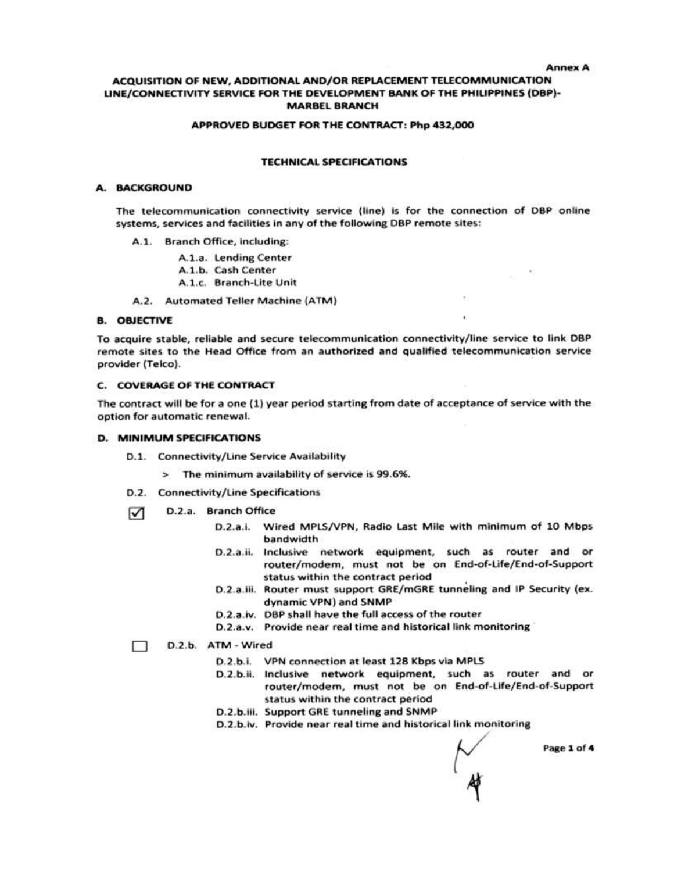#### **Annex A**

#### ACQUISITION OF NEW, ADDITIONAL AND/OR REPLACEMENT TELECOMMUNICATION LINE/CONNECTIVITY SERVICE FOR THE DEVELOPMENT BANK OF THE PHILIPPINES (DBP)-**MARBEL BRANCH**

#### APPROVED BUDGET FOR THE CONTRACT: Php 432,000

#### **TECHNICAL SPECIFICATIONS**

#### A. BACKGROUND

The telecommunication connectivity service (line) is for the connection of DBP online systems, services and facilities in any of the following DBP remote sites:

A.1. Branch Office, including:

A.1.a. Lending Center

A.1.b. Cash Center

A.1.c. Branch-Lite Unit

A.2. Automated Teller Machine (ATM)

#### **B. OBJECTIVE**

To acquire stable, reliable and secure telecommunication connectivity/line service to link DBP remote sites to the Head Office from an authorized and qualified telecommunication service provider (Telco).

#### C. COVERAGE OF THE CONTRACT

The contract will be for a one (1) year period starting from date of acceptance of service with the option for automatic renewal.

#### D. MINIMUM SPECIFICATIONS

- D.1. Connectivity/Line Service Availability
	- > The minimum availability of service is 99.6%.
- D.2. Connectivity/Line Specifications
- D.2.a. Branch Office  $\triangledown$ 
	- D.2.a.i. Wired MPLS/VPN, Radio Last Mile with minimum of 10 Mbps bandwidth

 $\mu$  .

- D.2.a.ii. Inclusive network equipment, such as router and or router/modem, must not be on End-of-Life/End-of-Support status within the contract period
- D.2.a.iii. Router must support GRE/mGRE tunneling and IP Security (ex. dynamic VPN) and SNMP
- D.2.a.iv. DBP shall have the full access of the router
- D.2.a.v. Provide near real time and historical link monitoring

#### D.2.b. ATM - Wired ⊓ ∷

- D.2.b.i. VPN connection at least 128 Kbps via MPLS
- D.2.b.ii. Inclusive network equipment, such as router and or router/modem, must not be on End-of-Life/End-of-Support status within the contract period
- D.2.b.iii. Support GRE tunneling and SNMP
- D.2.b.iv. Provide near real time and historical link monitoring

Page 1 of 4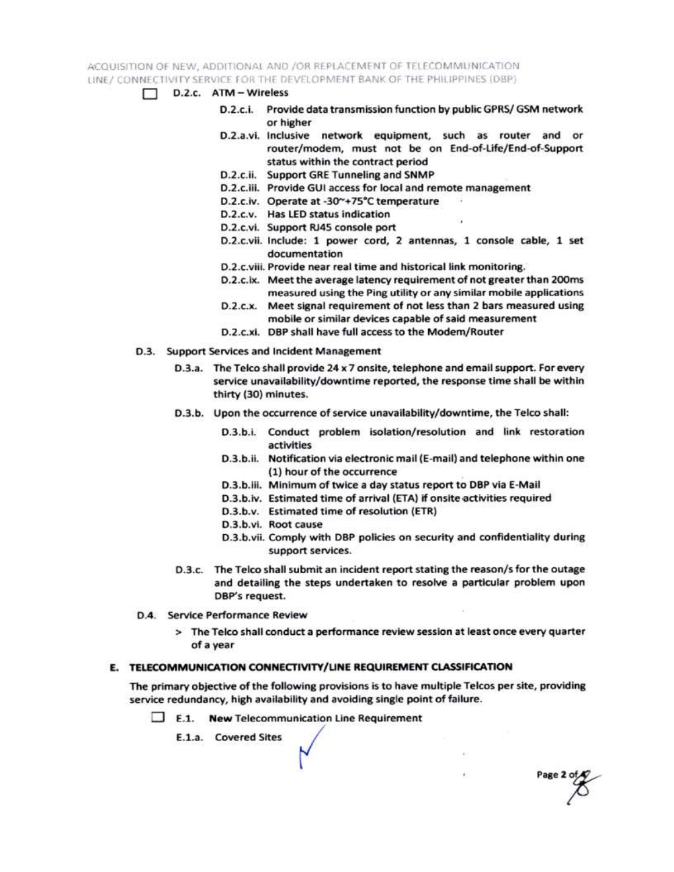ACQUISITION OF NEW, ADDITIONAL AND /OR REPLACEMENT OF TELECOMMUNICATION LINE / CONNECTIVITY SERVICE FOR THE DEVELOPMENT BANK OF THE PHILIPPINES (DBP)

- $\Box$  D.2.c.  $ATM Wireless$ 
	- D.2.c.i. Provide data transmission function by public GPRS/ GSM network or higher
	- D.2.a.vi. Inclusive network equipment, such as router and or router/modem, must not be on End-of-Life/End-of-Support status within the contract period
	- D.2.c.ii. Support GRE Tunneling and SNMP
	- D.2.c.iii. Provide GUI access for local and remote management
	- D.2.c.iv. Operate at -30~+75°C temperature
	- D.2.c.v. Has LED status indication
	- D.2.c.vi. Support RJ45 console port
	- D.2.c.vii. Include: 1 power cord, 2 antennas, 1 console cable, 1 set documentation
	- D.2.c.viii. Provide near real time and historical link monitoring.
	- D.2.c.ix. Meet the average latency requirement of not greater than 200ms measured using the Ping utility or any similar mobile applications
	- D.2.c.x. Meet signal requirement of not less than 2 bars measured using mobile or similar devices capable of said measurement
	- D.2.c.xi. DBP shall have full access to the Modem/Router
- D.3. Support Services and Incident Management
	- D.3.a. The Telco shall provide 24 x 7 onsite, telephone and email support. For every service unavailability/downtime reported, the response time shall be within thirty (30) minutes.
	- D.3.b. Upon the occurrence of service unavailability/downtime, the Telco shall:
		- D.3.b.i. Conduct problem isolation/resolution and link restoration activities
		- D.3.b.ii. Notification via electronic mail (E-mail) and telephone within one (1) hour of the occurrence
		- D.3.b.iii. Minimum of twice a day status report to DBP via E-Mail
		- D.3.b.iv. Estimated time of arrival (ETA) if onsite activities required
		- D.3.b.v. Estimated time of resolution (ETR)
		- D.3.b.vi. Root cause
		- D.3.b.vii. Comply with DBP policies on security and confidentiality during support services.

Page 2 of

- D.3.c. The Telco shall submit an incident report stating the reason/s for the outage and detailing the steps undertaken to resolve a particular problem upon DBP's request.
- D.4. Service Performance Review
	- > The Telco shall conduct a performance review session at least once every quarter of a year

### E. TELECOMMUNICATION CONNECTIVITY/LINE REQUIREMENT CLASSIFICATION

The primary objective of the following provisions is to have multiple Telcos per site, providing service redundancy, high availability and avoiding single point of failure.

 $\Box$  E.1. New Telecommunication Line Requirement

E.1.a. Covered Sites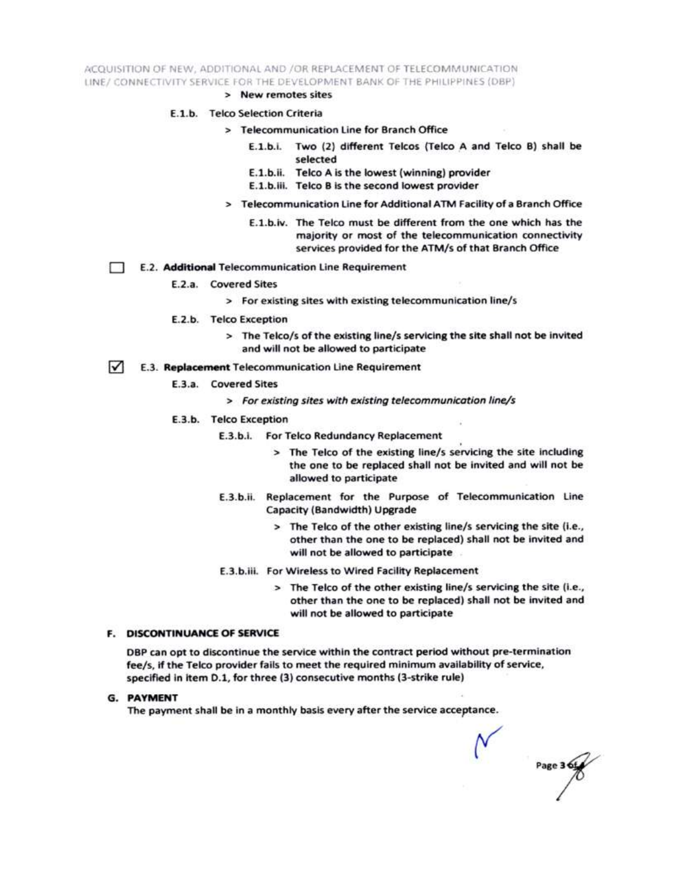ACQUISITION OF NEW, ADDITIONAL AND /OR REPLACEMENT OF TELECOMMUNICATION LINE/ CONNECTIVITY SERVICE FOR THE DEVELOPMENT BANK OF THE PHILIPPINES (DBP)

> New remotes sites

#### E.1.b. Telco Selection Criteria

- > Telecommunication Line for Branch Office
	- E.1.b.i. Two (2) different Telcos (Telco A and Telco B) shall be selected
	- E.1.b.ii. Telco A is the lowest (winning) provider
	- E.1.b.iii. Telco B is the second lowest provider
- > Telecommunication Line for Additional ATM Facility of a Branch Office
	- E.1.b.iv. The Telco must be different from the one which has the majority or most of the telecommunication connectivity services provided for the ATM/s of that Branch Office
- E.2. Additional Telecommunication Line Requirement Ð
	- E.2.a. Covered Sites
		- > For existing sites with existing telecommunication line/s
	- E.2.b. Telco Exception
		- > The Telco/s of the existing line/s servicing the site shall not be invited and will not be allowed to participate
- $\sqrt{ }$ E.3. Replacement Telecommunication Line Requirement
	- E.3.a. Covered Sites
		- > For existing sites with existing telecommunication line/s
	- E.3.b. Telco Exception
		- E.3.b.i. For Telco Redundancy Replacement
			- > The Telco of the existing line/s servicing the site including the one to be replaced shall not be invited and will not be allowed to participate
		- E.3.b.ii. Replacement for the Purpose of Telecommunication Line Capacity (Bandwidth) Upgrade
			- > The Telco of the other existing line/s servicing the site (i.e., other than the one to be replaced) shall not be invited and will not be allowed to participate
		- E.3.b.iii. For Wireless to Wired Facility Replacement
			- > The Telco of the other existing line/s servicing the site (i.e., other than the one to be replaced) shall not be invited and will not be allowed to participate

#### **F. DISCONTINUANCE OF SERVICE**

DBP can opt to discontinue the service within the contract period without pre-termination fee/s, if the Telco provider fails to meet the required minimum availability of service, specified in item D.1, for three (3) consecutive months (3-strike rule)

**G. PAYMENT** 

The payment shall be in a monthly basis every after the service acceptance.

Page 3 6t